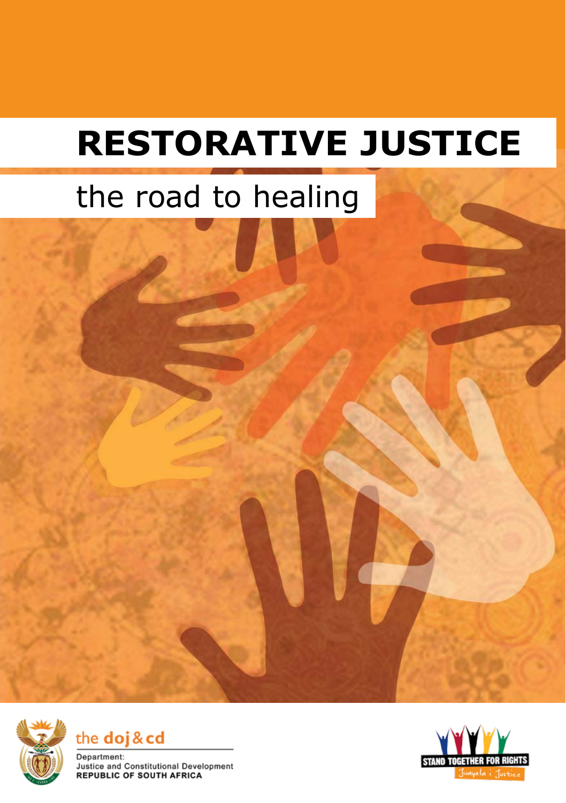# **RESTORATIVE JUSTICE**

## the road to healing







Department: Justice and Constitutional Development **REPUBLIC OF SOUTH AFRICA** 

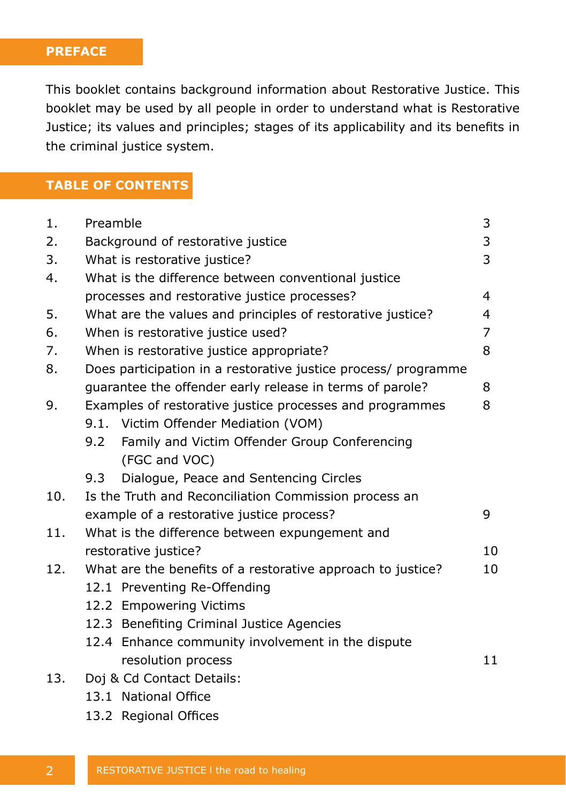#### **PREFACE**

This booklet contains background information about Restorative Justice. This booklet may be used by all people in order to understand what is Restorative Justice; its values and principles; stages of its applicability and its benefits in the criminal justice system.

## **TABLE OF CONTENTS**

| 1.  | 3<br>Preamble                                                   |                                                   |    |
|-----|-----------------------------------------------------------------|---------------------------------------------------|----|
| 2.  | 3<br>Background of restorative justice                          |                                                   |    |
| 3.  | 3<br>What is restorative justice?                               |                                                   |    |
| 4.  | What is the difference between conventional justice             |                                                   |    |
|     | processes and restorative justice processes?                    |                                                   |    |
| 5.  | What are the values and principles of restorative justice?<br>4 |                                                   |    |
| 6.  | 7<br>When is restorative justice used?                          |                                                   |    |
| 7.  | 8<br>When is restorative justice appropriate?                   |                                                   |    |
| 8.  | Does participation in a restorative justice process/ programme  |                                                   |    |
|     | guarantee the offender early release in terms of parole?        |                                                   |    |
| 9.  | Examples of restorative justice processes and programmes        |                                                   |    |
|     |                                                                 | 9.1. Victim Offender Mediation (VOM)              |    |
|     |                                                                 | 9.2 Family and Victim Offender Group Conferencing |    |
|     |                                                                 | (FGC and VOC)                                     |    |
|     | 9.3                                                             | Dialogue, Peace and Sentencing Circles            |    |
| 10. | Is the Truth and Reconciliation Commission process an           |                                                   |    |
|     | example of a restorative justice process?                       |                                                   |    |
| 11. | What is the difference between expungement and                  |                                                   |    |
|     | restorative justice?                                            |                                                   | 10 |
| 12. | What are the benefits of a restorative approach to justice?     |                                                   |    |
|     |                                                                 | 12.1 Preventing Re-Offending                      |    |
|     |                                                                 | 12.2 Empowering Victims                           |    |
|     |                                                                 | 12.3 Benefiting Criminal Justice Agencies         |    |
|     |                                                                 | 12.4 Enhance community involvement in the dispute |    |
|     |                                                                 | resolution process                                | 11 |
| 13. | Doj & Cd Contact Details:                                       |                                                   |    |
|     |                                                                 | 13.1 National Office                              |    |
|     |                                                                 |                                                   |    |

13.2 Regional Offices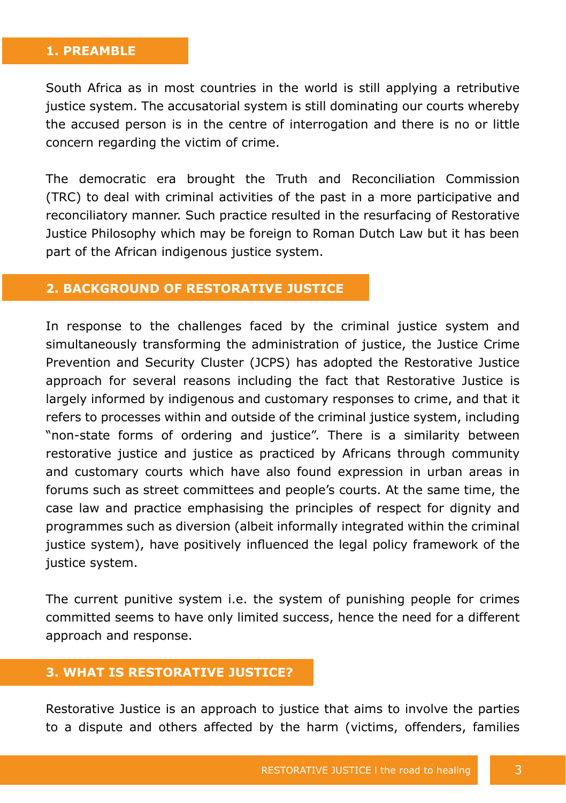#### **1. PREAMBLE**

South Africa as in most countries in the world is still applying a retributive justice system. The accusatorial system is still dominating our courts whereby the accused person is in the centre of interrogation and there is no or little concern regarding the victim of crime.

The democratic era brought the Truth and Reconciliation Commission (TRC) to deal with criminal activities of the past in a more participative and reconciliatory manner. Such practice resulted in the resurfacing of Restorative Justice Philosophy which may be foreign to Roman Dutch Law but it has been part of the African indigenous justice system.

#### **2. BACKGROUND OF RESTORATIVE JUSTICE**

In response to the challenges faced by the criminal justice system and simultaneously transforming the administration of justice, the Justice Crime Prevention and Security Cluster (JCPS) has adopted the Restorative Justice approach for several reasons including the fact that Restorative Justice is largely informed by indigenous and customary responses to crime, and that it refers to processes within and outside of the criminal justice system, including "non-state forms of ordering and justice". There is a similarity between restorative justice and justice as practiced by Africans through community and customary courts which have also found expression in urban areas in forums such as street committees and people's courts. At the same time, the case law and practice emphasising the principles of respect for dignity and programmes such as diversion (albeit informally integrated within the criminal justice system), have positively influenced the legal policy framework of the justice system.

The current punitive system i.e. the system of punishing people for crimes committed seems to have only limited success, hence the need for a different approach and response.

#### **3. WHAT IS RESTORATIVE JUSTICE?**

Restorative Justice is an approach to justice that aims to involve the parties to a dispute and others affected by the harm (victims, offenders, families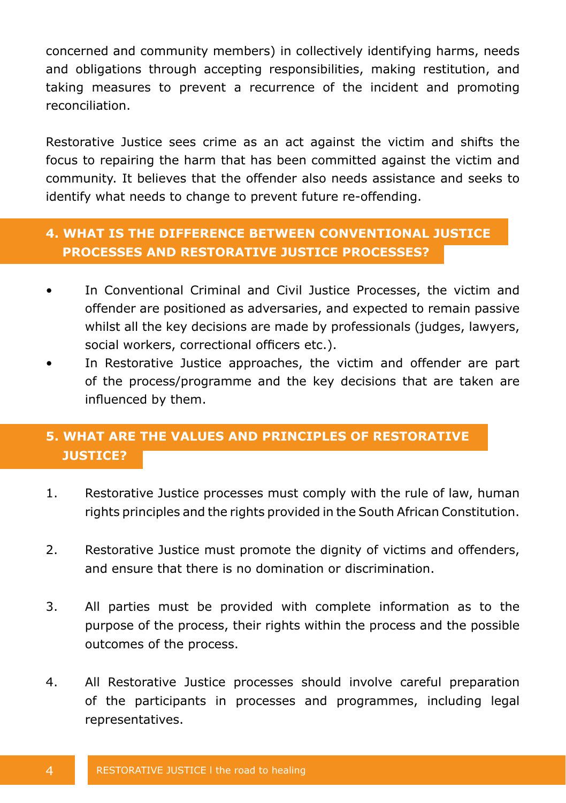concerned and community members) in collectively identifying harms, needs and obligations through accepting responsibilities, making restitution, and taking measures to prevent a recurrence of the incident and promoting reconciliation.

Restorative Justice sees crime as an act against the victim and shifts the focus to repairing the harm that has been committed against the victim and community. It believes that the offender also needs assistance and seeks to identify what needs to change to prevent future re-offending.

## **4. WHAT IS THE DIFFERENCE BETWEEN CONVENTIONAL JUSTICE PROCESSES AND RESTORATIVE JUSTICE PROCESSES?**

- In Conventional Criminal and Civil Justice Processes, the victim and offender are positioned as adversaries, and expected to remain passive whilst all the key decisions are made by professionals (judges, lawyers, social workers, correctional officers etc.).
- In Restorative Justice approaches, the victim and offender are part of the process/programme and the key decisions that are taken are influenced by them.

## **5. WHAT ARE THE VALUES AND PRINCIPLES OF RESTORATIVE JUSTICE?**

- 1. Restorative Justice processes must comply with the rule of law, human rights principles and the rights provided in the South African Constitution.
- 2. Restorative Justice must promote the dignity of victims and offenders, and ensure that there is no domination or discrimination.
- 3. All parties must be provided with complete information as to the purpose of the process, their rights within the process and the possible outcomes of the process.
- 4. All Restorative Justice processes should involve careful preparation of the participants in processes and programmes, including legal representatives.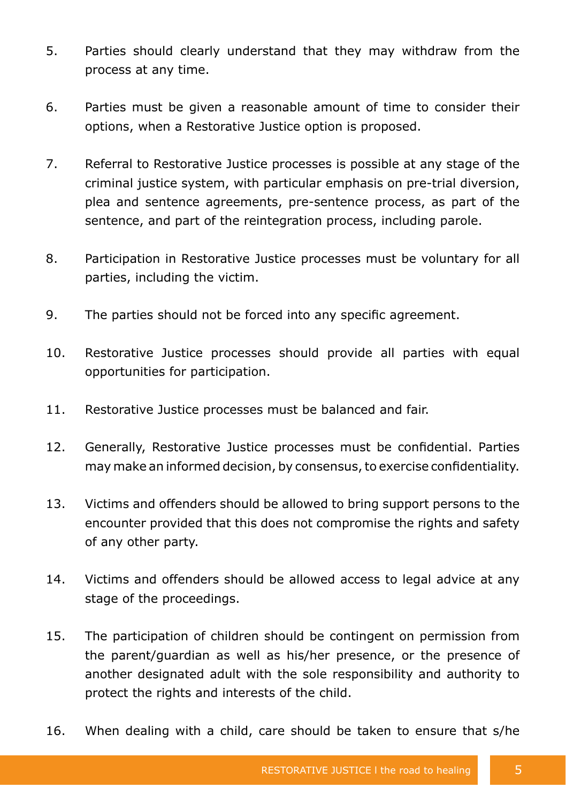- 5. Parties should clearly understand that they may withdraw from the process at any time.
- 6. Parties must be given a reasonable amount of time to consider their options, when a Restorative Justice option is proposed.
- 7. Referral to Restorative Justice processes is possible at any stage of the criminal justice system, with particular emphasis on pre-trial diversion, plea and sentence agreements, pre-sentence process, as part of the sentence, and part of the reintegration process, including parole.
- 8. Participation in Restorative Justice processes must be voluntary for all parties, including the victim.
- 9. The parties should not be forced into any specific agreement.
- 10. Restorative Justice processes should provide all parties with equal opportunities for participation.
- 11. Restorative Justice processes must be balanced and fair.
- 12. Generally, Restorative Justice processes must be confidential. Parties may make an informed decision, by consensus, to exercise confidentiality.
- 13. Victims and offenders should be allowed to bring support persons to the encounter provided that this does not compromise the rights and safety of any other party.
- 14. Victims and offenders should be allowed access to legal advice at any stage of the proceedings.
- 15. The participation of children should be contingent on permission from the parent/guardian as well as his/her presence, or the presence of another designated adult with the sole responsibility and authority to protect the rights and interests of the child.
- 16. When dealing with a child, care should be taken to ensure that s/he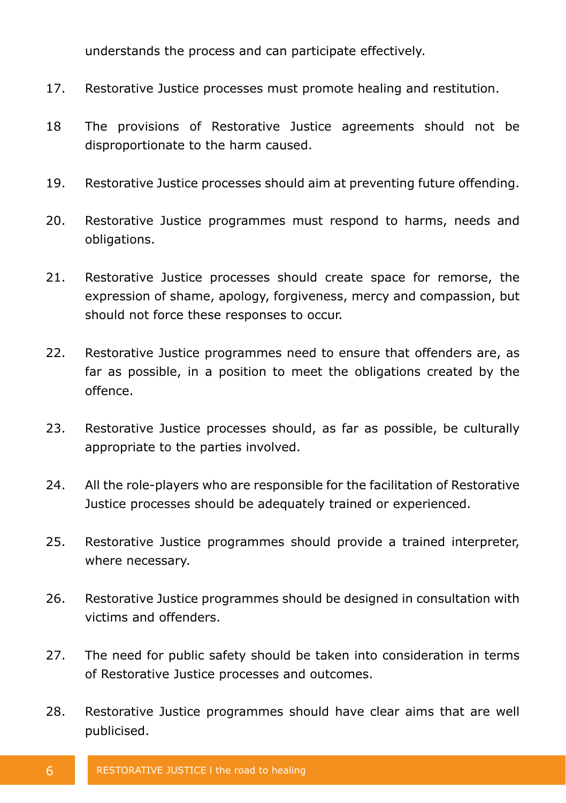understands the process and can participate effectively.

- 17. Restorative Justice processes must promote healing and restitution.
- 18 The provisions of Restorative Justice agreements should not be disproportionate to the harm caused.
- 19. Restorative Justice processes should aim at preventing future offending.
- 20. Restorative Justice programmes must respond to harms, needs and obligations.
- 21. Restorative Justice processes should create space for remorse, the expression of shame, apology, forgiveness, mercy and compassion, but should not force these responses to occur.
- 22. Restorative Justice programmes need to ensure that offenders are, as far as possible, in a position to meet the obligations created by the offence.
- 23. Restorative Justice processes should, as far as possible, be culturally appropriate to the parties involved.
- 24. All the role-players who are responsible for the facilitation of Restorative Justice processes should be adequately trained or experienced.
- 25. Restorative Justice programmes should provide a trained interpreter, where necessary.
- 26. Restorative Justice programmes should be designed in consultation with victims and offenders.
- 27. The need for public safety should be taken into consideration in terms of Restorative Justice processes and outcomes.
- 28. Restorative Justice programmes should have clear aims that are well publicised.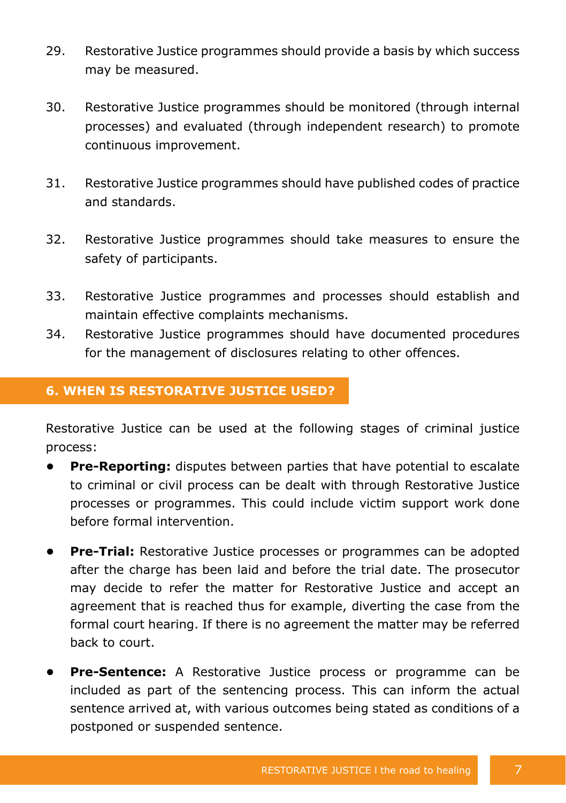- 29. Restorative Justice programmes should provide a basis by which success may be measured.
- 30. Restorative Justice programmes should be monitored (through internal processes) and evaluated (through independent research) to promote continuous improvement.
- 31. Restorative Justice programmes should have published codes of practice and standards.
- 32. Restorative Justice programmes should take measures to ensure the safety of participants.
- 33. Restorative Justice programmes and processes should establish and maintain effective complaints mechanisms.
- 34. Restorative Justice programmes should have documented procedures for the management of disclosures relating to other offences.

## **6. WHEN IS RESTORATIVE JUSTICE USED?**

Restorative Justice can be used at the following stages of criminal justice process:

- **• Pre-Reporting:** disputes between parties that have potential to escalate to criminal or civil process can be dealt with through Restorative Justice processes or programmes. This could include victim support work done before formal intervention.
- **• Pre-Trial:** Restorative Justice processes or programmes can be adopted after the charge has been laid and before the trial date. The prosecutor may decide to refer the matter for Restorative Justice and accept an agreement that is reached thus for example, diverting the case from the formal court hearing. If there is no agreement the matter may be referred back to court.
- **• Pre-Sentence:** A Restorative Justice process or programme can be included as part of the sentencing process. This can inform the actual sentence arrived at, with various outcomes being stated as conditions of a postponed or suspended sentence.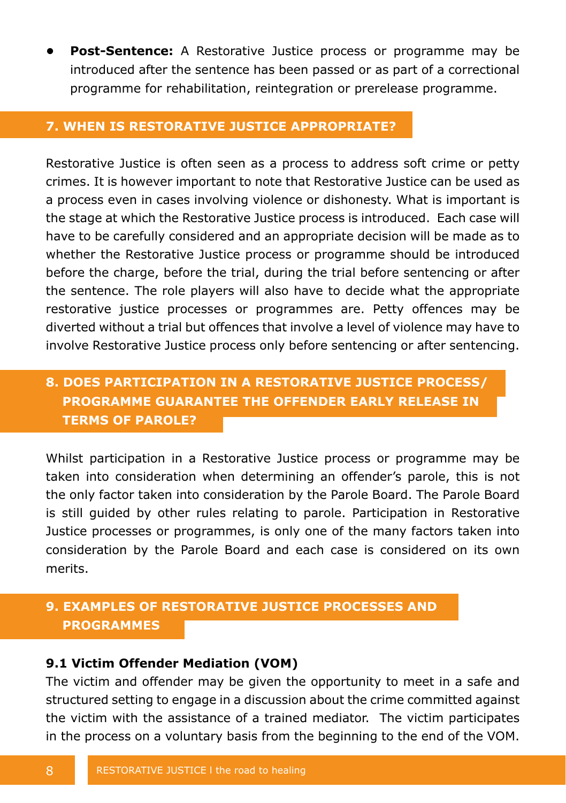**• Post-Sentence:** A Restorative Justice process or programme may be introduced after the sentence has been passed or as part of a correctional programme for rehabilitation, reintegration or prerelease programme.

#### **7. WHEN IS RESTORATIVE JUSTICE APPROPRIATE?**

Restorative Justice is often seen as a process to address soft crime or petty crimes. It is however important to note that Restorative Justice can be used as a process even in cases involving violence or dishonesty. What is important is the stage at which the Restorative Justice process is introduced. Each case will have to be carefully considered and an appropriate decision will be made as to whether the Restorative Justice process or programme should be introduced before the charge, before the trial, during the trial before sentencing or after the sentence. The role players will also have to decide what the appropriate restorative justice processes or programmes are. Petty offences may be diverted without a trial but offences that involve a level of violence may have to involve Restorative Justice process only before sentencing or after sentencing.

## **8. DOES PARTICIPATION IN A RESTORATIVE JUSTICE PROCESS/ PROGRAMME GUARANTEE THE OFFENDER EARLY RELEASE IN TERMS OF PAROLE?**

Whilst participation in a Restorative Justice process or programme may be taken into consideration when determining an offender's parole, this is not the only factor taken into consideration by the Parole Board. The Parole Board is still guided by other rules relating to parole. Participation in Restorative Justice processes or programmes, is only one of the many factors taken into consideration by the Parole Board and each case is considered on its own merits.

## **9. EXAMPLES OF RESTORATIVE JUSTICE PROCESSES AND PROGRAMMES**

#### **9.1 Victim Offender Mediation (VOM)**

The victim and offender may be given the opportunity to meet in a safe and structured setting to engage in a discussion about the crime committed against the victim with the assistance of a trained mediator. The victim participates in the process on a voluntary basis from the beginning to the end of the VOM.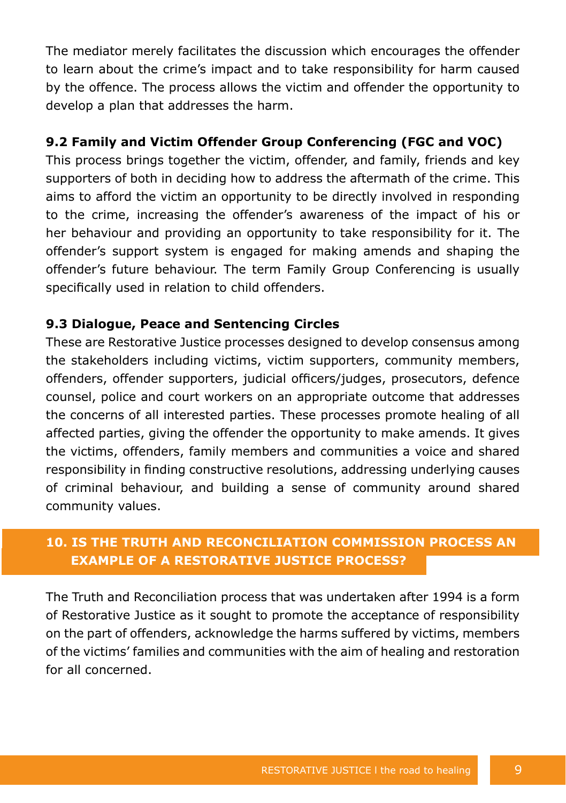The mediator merely facilitates the discussion which encourages the offender to learn about the crime's impact and to take responsibility for harm caused by the offence. The process allows the victim and offender the opportunity to develop a plan that addresses the harm.

#### **9.2 Family and Victim Offender Group Conferencing (FGC and VOC)**

This process brings together the victim, offender, and family, friends and key supporters of both in deciding how to address the aftermath of the crime. This aims to afford the victim an opportunity to be directly involved in responding to the crime, increasing the offender's awareness of the impact of his or her behaviour and providing an opportunity to take responsibility for it. The offender's support system is engaged for making amends and shaping the offender's future behaviour. The term Family Group Conferencing is usually specifically used in relation to child offenders.

## **9.3 Dialogue, Peace and Sentencing Circles**

These are Restorative Justice processes designed to develop consensus among the stakeholders including victims, victim supporters, community members, offenders, offender supporters, judicial officers/judges, prosecutors, defence counsel, police and court workers on an appropriate outcome that addresses the concerns of all interested parties. These processes promote healing of all affected parties, giving the offender the opportunity to make amends. It gives the victims, offenders, family members and communities a voice and shared responsibility in finding constructive resolutions, addressing underlying causes of criminal behaviour, and building a sense of community around shared community values.

## **10. IS THE TRUTH AND RECONCILIATION COMMISSION PROCESS AN EXAMPLE OF A RESTORATIVE JUSTICE PROCESS?**

The Truth and Reconciliation process that was undertaken after 1994 is a form of Restorative Justice as it sought to promote the acceptance of responsibility on the part of offenders, acknowledge the harms suffered by victims, members of the victims' families and communities with the aim of healing and restoration for all concerned.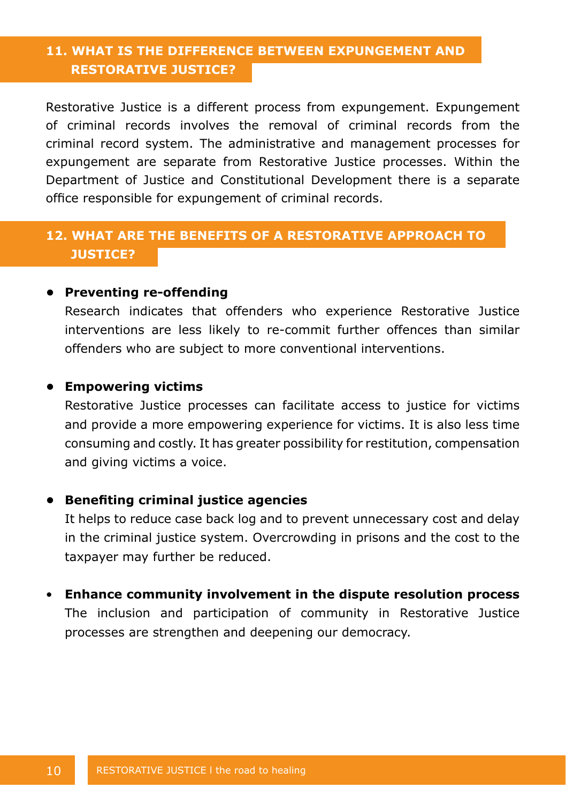## **11. WHAT IS THE DIFFERENCE BETWEEN EXPUNGEMENT AND RESTORATIVE JUSTICE?**

Restorative Justice is a different process from expungement. Expungement of criminal records involves the removal of criminal records from the criminal record system. The administrative and management processes for expungement are separate from Restorative Justice processes. Within the Department of Justice and Constitutional Development there is a separate office responsible for expungement of criminal records.

## **12. WHAT ARE THE BENEFITS OF A RESTORATIVE APPROACH TO JUSTICE?**

#### **• Preventing re-offending**

Research indicates that offenders who experience Restorative Justice interventions are less likely to re-commit further offences than similar offenders who are subject to more conventional interventions.

#### **• Empowering victims**

Restorative Justice processes can facilitate access to justice for victims and provide a more empowering experience for victims. It is also less time consuming and costly. It has greater possibility for restitution, compensation and giving victims a voice.

#### **• Benefiting criminal justice agencies**

It helps to reduce case back log and to prevent unnecessary cost and delay in the criminal justice system. Overcrowding in prisons and the cost to the taxpayer may further be reduced.

#### • **Enhance community involvement in the dispute resolution process**

The inclusion and participation of community in Restorative Justice processes are strengthen and deepening our democracy.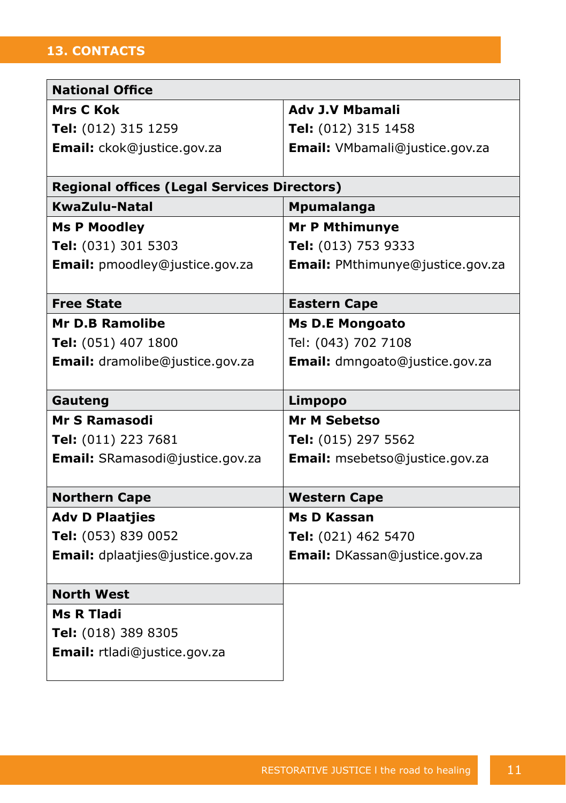## **13. CONTACTS**

| <b>National Office</b>                             |                                  |  |  |  |
|----------------------------------------------------|----------------------------------|--|--|--|
| <b>Mrs C Kok</b>                                   | <b>Adv J.V Mbamali</b>           |  |  |  |
| Tel: (012) 315 1259                                | Tel: (012) 315 1458              |  |  |  |
| Email: ckok@justice.gov.za                         | Email: VMbamali@justice.gov.za   |  |  |  |
|                                                    |                                  |  |  |  |
| <b>Regional offices (Legal Services Directors)</b> |                                  |  |  |  |
| KwaZulu-Natal                                      | Mpumalanga                       |  |  |  |
| <b>Ms P Moodley</b>                                | <b>Mr P Mthimunye</b>            |  |  |  |
| Tel: (031) 301 5303                                | Tel: (013) 753 9333              |  |  |  |
| Email: pmoodley@justice.gov.za                     | Email: PMthimunye@justice.gov.za |  |  |  |
|                                                    |                                  |  |  |  |
| <b>Free State</b>                                  | <b>Eastern Cape</b>              |  |  |  |
| <b>Mr D.B Ramolibe</b>                             | <b>Ms D.E Mongoato</b>           |  |  |  |
| Tel: (051) 407 1800                                | Tel: (043) 702 7108              |  |  |  |
| Email: dramolibe@justice.gov.za                    | Email: dmngoato@justice.gov.za   |  |  |  |
|                                                    |                                  |  |  |  |
| Gauteng                                            | Limpopo                          |  |  |  |
| <b>Mr S Ramasodi</b>                               | <b>Mr M Sebetso</b>              |  |  |  |
| Tel: (011) 223 7681                                | Tel: (015) 297 5562              |  |  |  |
| Email: SRamasodi@justice.gov.za                    | Email: msebetso@justice.gov.za   |  |  |  |
|                                                    |                                  |  |  |  |
| <b>Northern Cape</b>                               | <b>Western Cape</b>              |  |  |  |
| <b>Adv D Plaatjies</b>                             | <b>Ms D Kassan</b>               |  |  |  |
| Tel: (053) 839 0052                                | Tel: (021) 462 5470              |  |  |  |
| Email: dplaatjies@justice.gov.za                   | Email: DKassan@justice.gov.za    |  |  |  |
|                                                    |                                  |  |  |  |
| <b>North West</b>                                  |                                  |  |  |  |
| Ms R Tladi                                         |                                  |  |  |  |
| Tel: (018) 389 8305                                |                                  |  |  |  |
| Email: rtladi@justice.gov.za                       |                                  |  |  |  |
|                                                    |                                  |  |  |  |